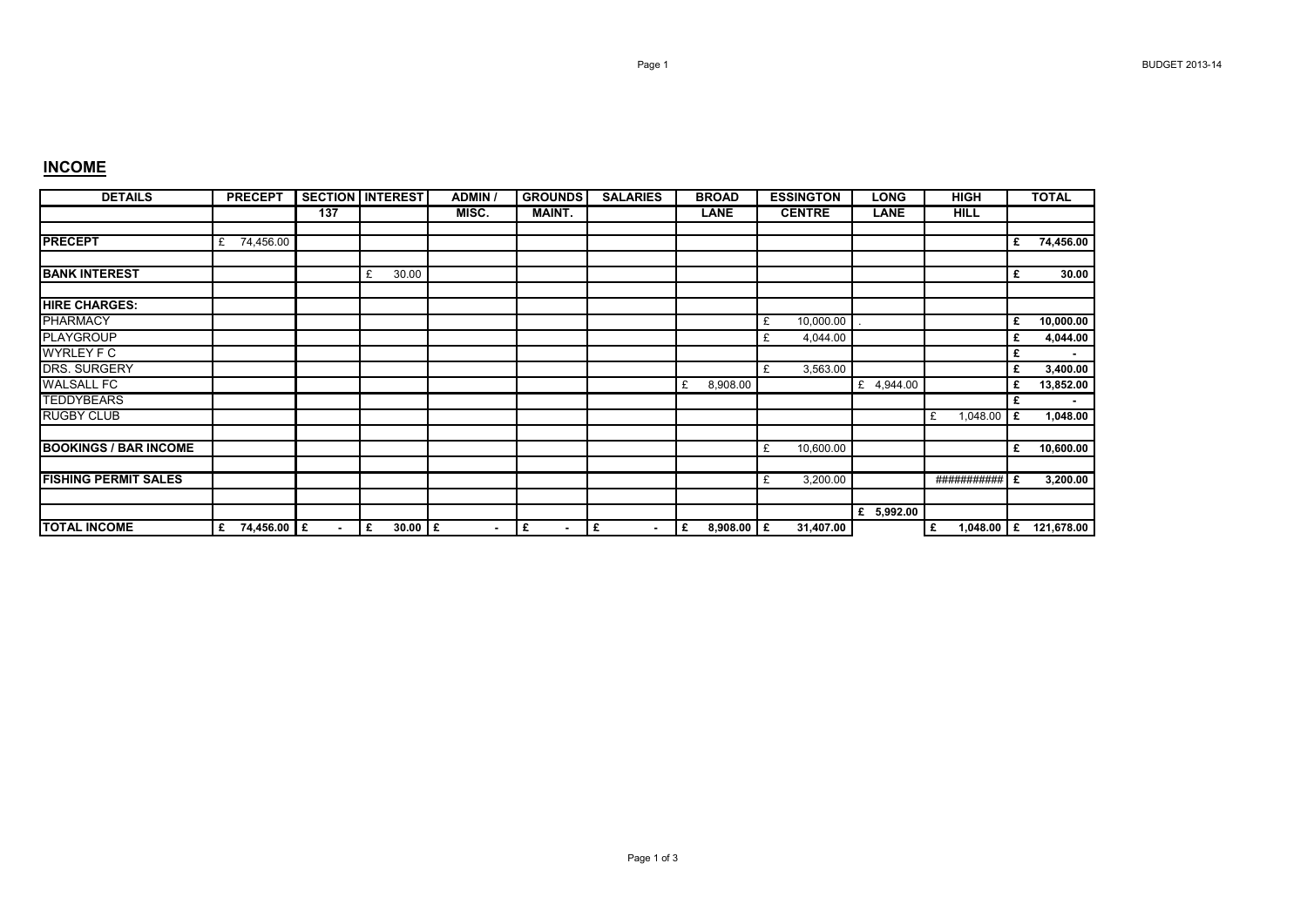## **INCOME**

| <b>DETAILS</b>               | <b>PRECEPT</b>   |                | <b>SECTION INTEREST</b> | <b>ADMIN</b>   | <b>GROUNDS</b>      | <b>SALARIES</b>     | <b>BROAD</b>      | <b>ESSINGTON</b> | <b>LONG</b> | <b>HIGH</b>       |   | <b>TOTAL</b> |
|------------------------------|------------------|----------------|-------------------------|----------------|---------------------|---------------------|-------------------|------------------|-------------|-------------------|---|--------------|
|                              |                  | 137            |                         | MISC.          | <b>MAINT.</b>       |                     | <b>LANE</b>       | <b>CENTRE</b>    | <b>LANE</b> | <b>HILL</b>       |   |              |
| <b>PRECEPT</b>               | 74,456.00<br>£   |                |                         |                |                     |                     |                   |                  |             |                   | £ | 74,456.00    |
| <b>BANK INTEREST</b>         |                  |                | 30.00<br>£              |                |                     |                     |                   |                  |             |                   | £ | 30.00        |
| <b>HIRE CHARGES:</b>         |                  |                |                         |                |                     |                     |                   |                  |             |                   |   |              |
| <b>PHARMACY</b>              |                  |                |                         |                |                     |                     |                   | 10,000.00<br>£   |             |                   | £ | 10,000.00    |
| <b>PLAYGROUP</b>             |                  |                |                         |                |                     |                     |                   | 4,044.00<br>£    |             |                   | £ | 4,044.00     |
| <b>WYRLEY F C</b>            |                  |                |                         |                |                     |                     |                   |                  |             |                   | £ |              |
| <b>DRS. SURGERY</b>          |                  |                |                         |                |                     |                     |                   | 3,563.00<br>£    |             |                   | £ | 3,400.00     |
| <b>WALSALL FC</b>            |                  |                |                         |                |                     |                     | 8,908.00<br>£     |                  | £ 4,944.00  |                   | £ | 13,852.00    |
| <b>TEDDYBEARS</b>            |                  |                |                         |                |                     |                     |                   |                  |             |                   | £ |              |
| <b>RUGBY CLUB</b>            |                  |                |                         |                |                     |                     |                   |                  |             | 1,048.00<br>£     | £ | 1,048.00     |
| <b>BOOKINGS / BAR INCOME</b> |                  |                |                         |                |                     |                     |                   | 10,600.00<br>£   |             |                   | £ | 10,600.00    |
| <b>FISHING PERMIT SALES</b>  |                  |                |                         |                |                     |                     |                   | 3,200.00<br>£    |             | ########### E     |   | 3,200.00     |
|                              |                  |                |                         |                |                     |                     |                   |                  | £ 5,992.00  |                   |   |              |
| <b>TOTAL INCOME</b>          | 74,456.00 £<br>£ | $\blacksquare$ | $30.00$ £<br>١£         | $\blacksquare$ | £<br>$\blacksquare$ | £<br>$\blacksquare$ | $8,908.00$ £<br>£ | 31,407.00        |             | 1,048.00 $E$<br>£ |   | 121,678.00   |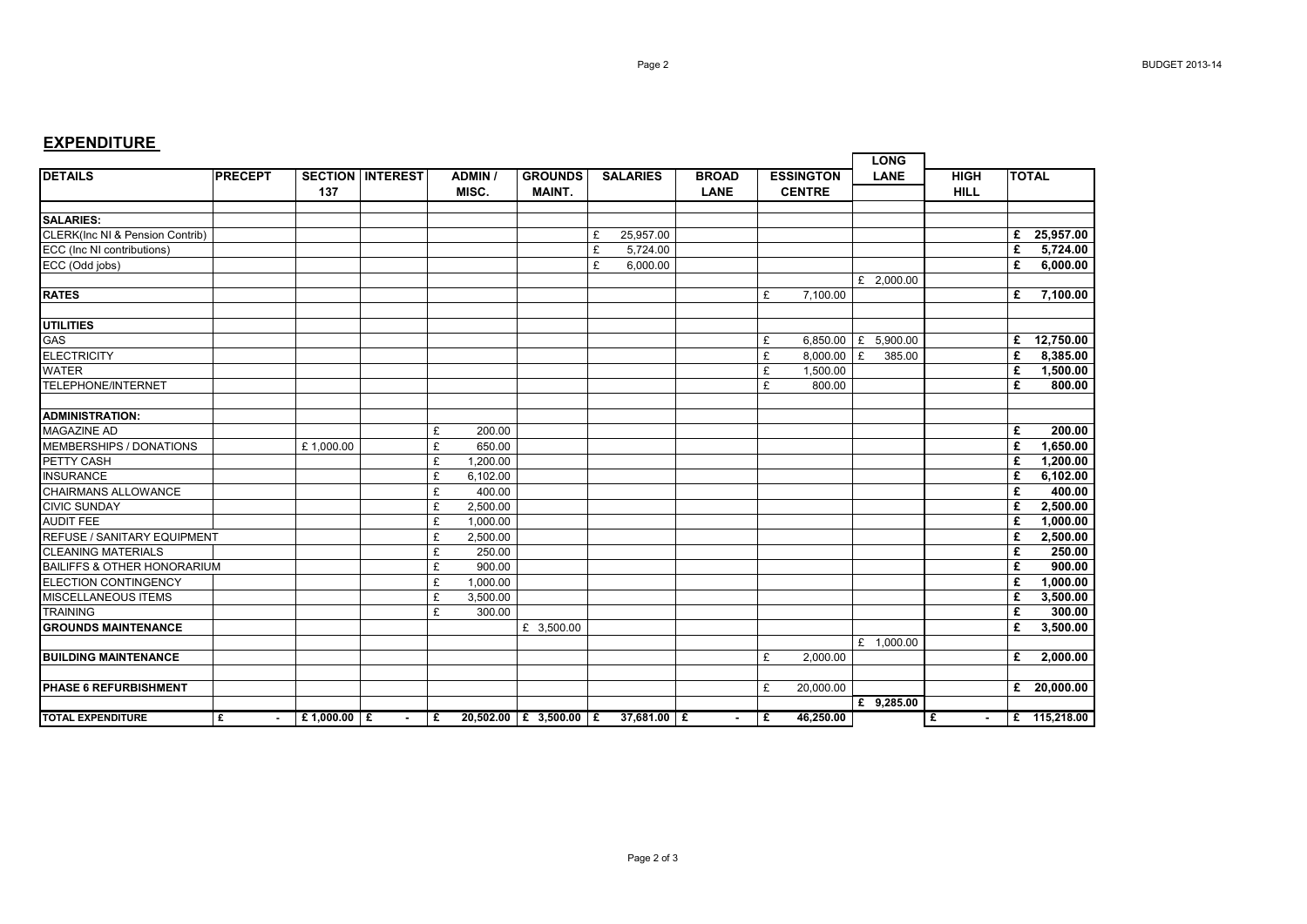## **EXPENDITURE**

|                                        |                |               |                         |   |                |                          |                 |             |              |                                   |                       |             | <b>LONG</b>  |             |   |               |
|----------------------------------------|----------------|---------------|-------------------------|---|----------------|--------------------------|-----------------|-------------|--------------|-----------------------------------|-----------------------|-------------|--------------|-------------|---|---------------|
| <b>DETAILS</b>                         | <b>PRECEPT</b> |               | <b>SECTION INTEREST</b> |   | <b>ADMIN</b> / | <b>GROUNDS</b>           | <b>SALARIES</b> |             | <b>BROAD</b> | <b>ESSINGTON</b><br><b>CENTRE</b> |                       | <b>LANE</b> |              | <b>HIGH</b> |   | <b>TOTAL</b>  |
|                                        |                | 137           |                         |   | MISC.          | <b>MAINT.</b>            |                 |             | <b>LANE</b>  |                                   |                       |             | <b>HILL</b>  |             |   |               |
| <b>SALARIES:</b>                       |                |               |                         |   |                |                          |                 |             |              |                                   |                       |             |              |             |   |               |
| CLERK(Inc NI & Pension Contrib)        |                |               |                         |   |                |                          | £               | 25,957.00   |              |                                   |                       |             |              |             |   | £ 25,957.00   |
| ECC (Inc NI contributions)             |                |               |                         |   |                |                          | £               | 5,724.00    |              |                                   |                       |             |              |             | £ | 5,724.00      |
| ECC (Odd jobs)                         |                |               |                         |   |                |                          | £               | 6.000.00    |              |                                   |                       |             |              |             | £ | 6,000.00      |
|                                        |                |               |                         |   |                |                          |                 |             |              |                                   |                       |             | £ 2,000.00   |             |   |               |
| <b>RATES</b>                           |                |               |                         |   |                |                          |                 |             |              | £                                 | 7,100.00              |             |              |             | £ | 7,100.00      |
| <b>UTILITIES</b>                       |                |               |                         |   |                |                          |                 |             |              |                                   |                       |             |              |             |   |               |
| <b>GAS</b>                             |                |               |                         |   |                |                          |                 |             |              | £                                 | 6,850.00   £ 5,900.00 |             |              |             | £ | 12,750.00     |
| <b>ELECTRICITY</b>                     |                |               |                         |   |                |                          |                 |             |              | £                                 | 8,000.00              | E           | 385.00       |             | £ | 8,385.00      |
| <b>WATER</b>                           |                |               |                         |   |                |                          |                 |             |              | £                                 | 1,500.00              |             |              |             | £ | 1,500.00      |
| <b>TELEPHONE/INTERNET</b>              |                |               |                         |   |                |                          |                 |             |              | £                                 | 800.00                |             |              |             | £ | 800.00        |
| <b>ADMINISTRATION:</b>                 |                |               |                         |   |                |                          |                 |             |              |                                   |                       |             |              |             |   |               |
| <b>MAGAZINE AD</b>                     |                |               |                         | £ | 200.00         |                          |                 |             |              |                                   |                       |             |              |             | £ | 200.00        |
| MEMBERSHIPS / DONATIONS                |                | £1,000.00     |                         | £ | 650.00         |                          |                 |             |              |                                   |                       |             |              |             | £ | 1,650.00      |
| PETTY CASH                             |                |               |                         | £ | 1,200.00       |                          |                 |             |              |                                   |                       |             |              |             | £ | 1,200.00      |
| <b>INSURANCE</b>                       |                |               |                         | £ | 6.102.00       |                          |                 |             |              |                                   |                       |             |              |             | £ | 6.102.00      |
| <b>CHAIRMANS ALLOWANCE</b>             |                |               |                         | £ | 400.00         |                          |                 |             |              |                                   |                       |             |              |             | £ | 400.00        |
| <b>CIVIC SUNDAY</b>                    |                |               |                         | £ | 2.500.00       |                          |                 |             |              |                                   |                       |             |              |             | £ | 2,500.00      |
| <b>AUDIT FEE</b>                       |                |               |                         | £ | 1,000.00       |                          |                 |             |              |                                   |                       |             |              |             | £ | 1,000.00      |
| REFUSE / SANITARY EQUIPMENT            |                |               |                         | £ | 2,500.00       |                          |                 |             |              |                                   |                       |             |              |             | £ | 2,500.00      |
| <b>CLEANING MATERIALS</b>              |                |               |                         | £ | 250.00         |                          |                 |             |              |                                   |                       |             |              |             | £ | 250.00        |
| <b>BAILIFFS &amp; OTHER HONORARIUM</b> |                |               |                         | £ | 900.00         |                          |                 |             |              |                                   |                       |             |              |             | £ | 900.00        |
| <b>ELECTION CONTINGENCY</b>            |                |               |                         | £ | 1,000.00       |                          |                 |             |              |                                   |                       |             |              |             | £ | 1,000.00      |
| <b>MISCELLANEOUS ITEMS</b>             |                |               |                         | £ | 3.500.00       |                          |                 |             |              |                                   |                       |             |              |             | £ | 3.500.00      |
| <b>TRAINING</b>                        |                |               |                         | £ | 300.00         |                          |                 |             |              |                                   |                       |             |              |             | £ | 300.00        |
| <b>GROUNDS MAINTENANCE</b>             |                |               |                         |   |                | £ 3,500.00               |                 |             |              |                                   |                       |             |              |             | £ | 3,500.00      |
| <b>BUILDING MAINTENANCE</b>            |                |               |                         |   |                |                          |                 |             |              | £                                 | 2,000.00              |             | £ 1,000.00   |             | £ | 2,000.00      |
|                                        |                |               |                         |   |                |                          |                 |             |              |                                   |                       |             |              |             |   |               |
| <b>PHASE 6 REFURBISHMENT</b>           |                |               |                         |   |                |                          |                 |             |              | £                                 | 20,000.00             |             |              |             |   | £ $20,000.00$ |
|                                        |                |               |                         |   |                |                          |                 |             |              |                                   |                       |             | £ $9,285.00$ |             |   |               |
| <b>TOTAL EXPENDITURE</b>               | £<br>$\sim$    | £1,000.00   £ | $\sim$                  | £ |                | $20,502.00$ £ 3,500.00 £ |                 | 37,681.00 £ | $\sim$       | Ι£                                | 46.250.00             |             |              | £<br>$\sim$ |   | E 115,218.00  |